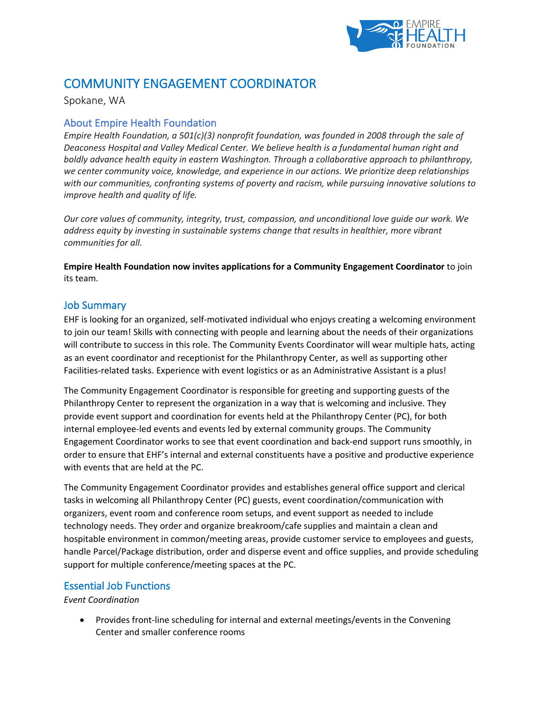

# COMMUNITY ENGAGEMENT COORDINATOR

Spokane, WA

## About Empire Health Foundation

*Empire Health Foundation, a 501(c)(3) nonprofit foundation, was founded in 2008 through the sale of Deaconess Hospital and Valley Medical Center. We believe health is a fundamental human right and boldly advance health equity in eastern Washington. Through a collaborative approach to philanthropy, we center community voice, knowledge, and experience in our actions. We prioritize deep relationships with our communities, confronting systems of poverty and racism, while pursuing innovative solutions to improve health and quality of life.*

*Our core values of community, integrity, trust, compassion, and unconditional love guide our work. We address equity by investing in sustainable systems change that results in healthier, more vibrant communities for all.*

**Empire Health Foundation now invites applications for a Community Engagement Coordinator** to join its team.

## Job Summary

EHF is looking for an organized, self-motivated individual who enjoys creating a welcoming environment to join our team! Skills with connecting with people and learning about the needs of their organizations will contribute to success in this role. The Community Events Coordinator will wear multiple hats, acting as an event coordinator and receptionist for the Philanthropy Center, as well as supporting other Facilities-related tasks. Experience with event logistics or as an Administrative Assistant is a plus!

The Community Engagement Coordinator is responsible for greeting and supporting guests of the Philanthropy Center to represent the organization in a way that is welcoming and inclusive. They provide event support and coordination for events held at the Philanthropy Center (PC), for both internal employee-led events and events led by external community groups. The Community Engagement Coordinator works to see that event coordination and back-end support runs smoothly, in order to ensure that EHF's internal and external constituents have a positive and productive experience with events that are held at the PC.

The Community Engagement Coordinator provides and establishes general office support and clerical tasks in welcoming all Philanthropy Center (PC) guests, event coordination/communication with organizers, event room and conference room setups, and event support as needed to include technology needs. They order and organize breakroom/cafe supplies and maintain a clean and hospitable environment in common/meeting areas, provide customer service to employees and guests, handle Parcel/Package distribution, order and disperse event and office supplies, and provide scheduling support for multiple conference/meeting spaces at the PC.

## Essential Job Functions

*Event Coordination*

• Provides front-line scheduling for internal and external meetings/events in the Convening Center and smaller conference rooms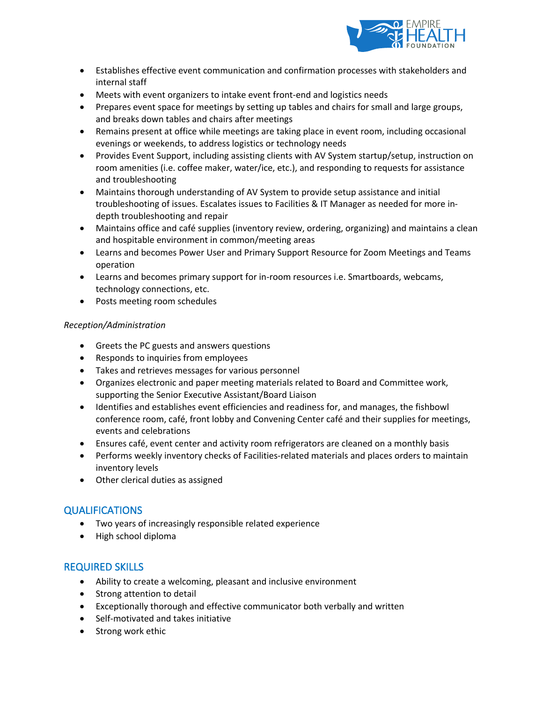

- Establishes effective event communication and confirmation processes with stakeholders and internal staff
- Meets with event organizers to intake event front-end and logistics needs
- Prepares event space for meetings by setting up tables and chairs for small and large groups, and breaks down tables and chairs after meetings
- Remains present at office while meetings are taking place in event room, including occasional evenings or weekends, to address logistics or technology needs
- Provides Event Support, including assisting clients with AV System startup/setup, instruction on room amenities (i.e. coffee maker, water/ice, etc.), and responding to requests for assistance and troubleshooting
- Maintains thorough understanding of AV System to provide setup assistance and initial troubleshooting of issues. Escalates issues to Facilities & IT Manager as needed for more indepth troubleshooting and repair
- Maintains office and café supplies (inventory review, ordering, organizing) and maintains a clean and hospitable environment in common/meeting areas
- Learns and becomes Power User and Primary Support Resource for Zoom Meetings and Teams operation
- Learns and becomes primary support for in-room resources i.e. Smartboards, webcams, technology connections, etc.
- Posts meeting room schedules

#### *Reception/Administration*

- Greets the PC guests and answers questions
- Responds to inquiries from employees
- Takes and retrieves messages for various personnel
- Organizes electronic and paper meeting materials related to Board and Committee work, supporting the Senior Executive Assistant/Board Liaison
- Identifies and establishes event efficiencies and readiness for, and manages, the fishbowl conference room, café, front lobby and Convening Center café and their supplies for meetings, events and celebrations
- Ensures café, event center and activity room refrigerators are cleaned on a monthly basis
- Performs weekly inventory checks of Facilities-related materials and places orders to maintain inventory levels
- Other clerical duties as assigned

## **QUALIFICATIONS**

- Two years of increasingly responsible related experience
- High school diploma

## REQUIRED SKILLS

- Ability to create a welcoming, pleasant and inclusive environment
- Strong attention to detail
- Exceptionally thorough and effective communicator both verbally and written
- Self-motivated and takes initiative
- Strong work ethic